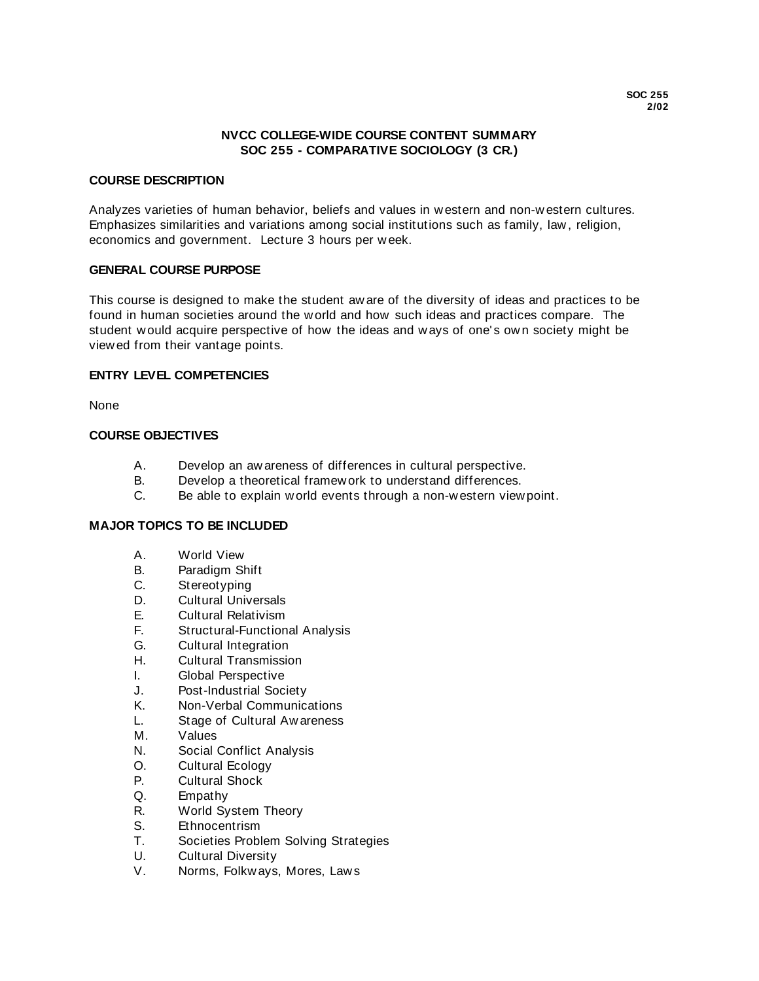# **NVCC COLLEGE-WIDE COURSE CONTENT SUMMARY SOC 255 - COMPARATIVE SOCIOLOGY (3 CR.)**

### **COURSE DESCRIPTION**

Analyzes varieties of human behavior, beliefs and values in w estern and non-w estern cultures. Emphasizes similarities and variations among social institutions such as family, law , religion, economics and government. Lecture 3 hours per w eek.

### **GENERAL COURSE PURPOSE**

This course is designed to make the student aw are of the diversity of ideas and practices to be found in human societies around the w orld and how such ideas and practices compare. The student w ould acquire perspective of how the ideas and w ays of one' s ow n society might be view ed from their vantage points.

### **ENTRY LEVEL COMPETENCIES**

None

### **COURSE OBJECTIVES**

- A. Develop an aw areness of differences in cultural perspective.
- B. Develop a theoretical framew ork to understand differences.
- C. Be able to explain w orld events through a non-w estern view point.

# **MAJOR TOPICS TO BE INCLUDED**

- A. World View
- B. Paradigm Shift<br>C. Stereotyping
- C. Stereotyping<br>D. Cultural Unive
- **Cultural Universals**
- E. Cultural Relativism
- F. Structural-Functional Analysis
- G. Cultural Integration
- H. Cultural Transmission
- I. Global Perspective
- 
- J. Post-Industrial Society<br>K. Non-Verbal Communica Non-Verbal Communications
- L. Stage of Cultural Aw areness
- M. Values
- N. Social Conflict Analysis
- O. Cultural Ecology
- P. Cultural Shock
- Q. Empathy
- R. World System Theory
- S. Ethnocentrism
- T. Societies Problem Solving Strategies
- U. Cultural Diversity
- V. Norms, Folkw ays, Mores, Law s